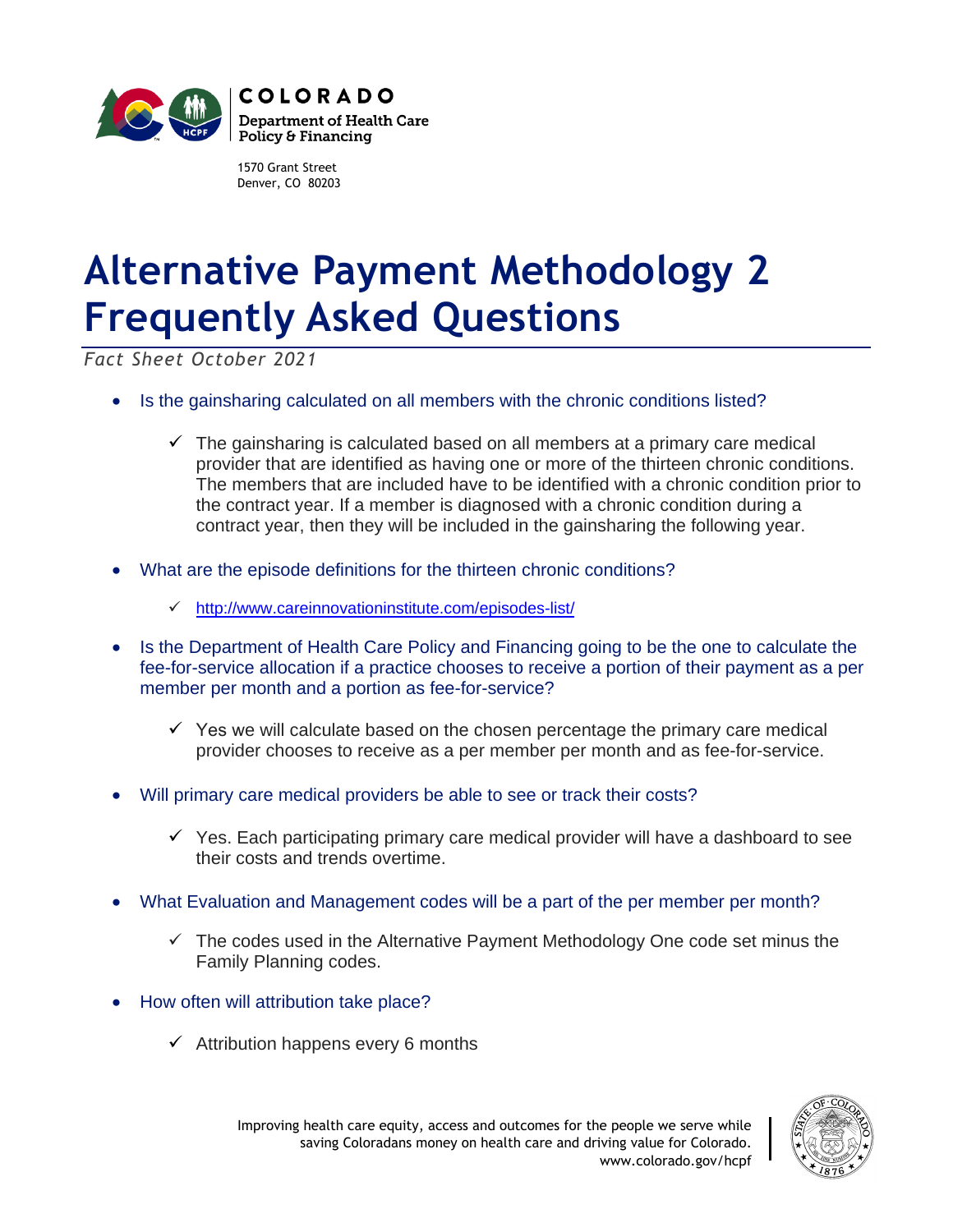

1570 Grant Street Denver, CO 80203

## **Alternative Payment Methodology 2 Frequently Asked Questions**

*Fact Sheet October 2021*

- Is the gainsharing calculated on all members with the chronic conditions listed?
	- $\checkmark$  The gainsharing is calculated based on all members at a primary care medical provider that are identified as having one or more of the thirteen chronic conditions. The members that are included have to be identified with a chronic condition prior to the contract year. If a member is diagnosed with a chronic condition during a contract year, then they will be included in the gainsharing the following year.
- What are the episode definitions for the thirteen chronic conditions?
	- ✓ <http://www.careinnovationinstitute.com/episodes-list/>
- Is the Department of Health Care Policy and Financing going to be the one to calculate the fee-for-service allocation if a practice chooses to receive a portion of their payment as a per member per month and a portion as fee-for-service?
	- $\checkmark$  Yes we will calculate based on the chosen percentage the primary care medical provider chooses to receive as a per member per month and as fee-for-service.
- Will primary care medical providers be able to see or track their costs?
	- $\checkmark$  Yes. Each participating primary care medical provider will have a dashboard to see their costs and trends overtime.
- What Evaluation and Management codes will be a part of the per member per month?
	- $\checkmark$  The codes used in the Alternative Payment Methodology One code set minus the Family Planning codes.
- How often will attribution take place?
	- $\checkmark$  Attribution happens every 6 months